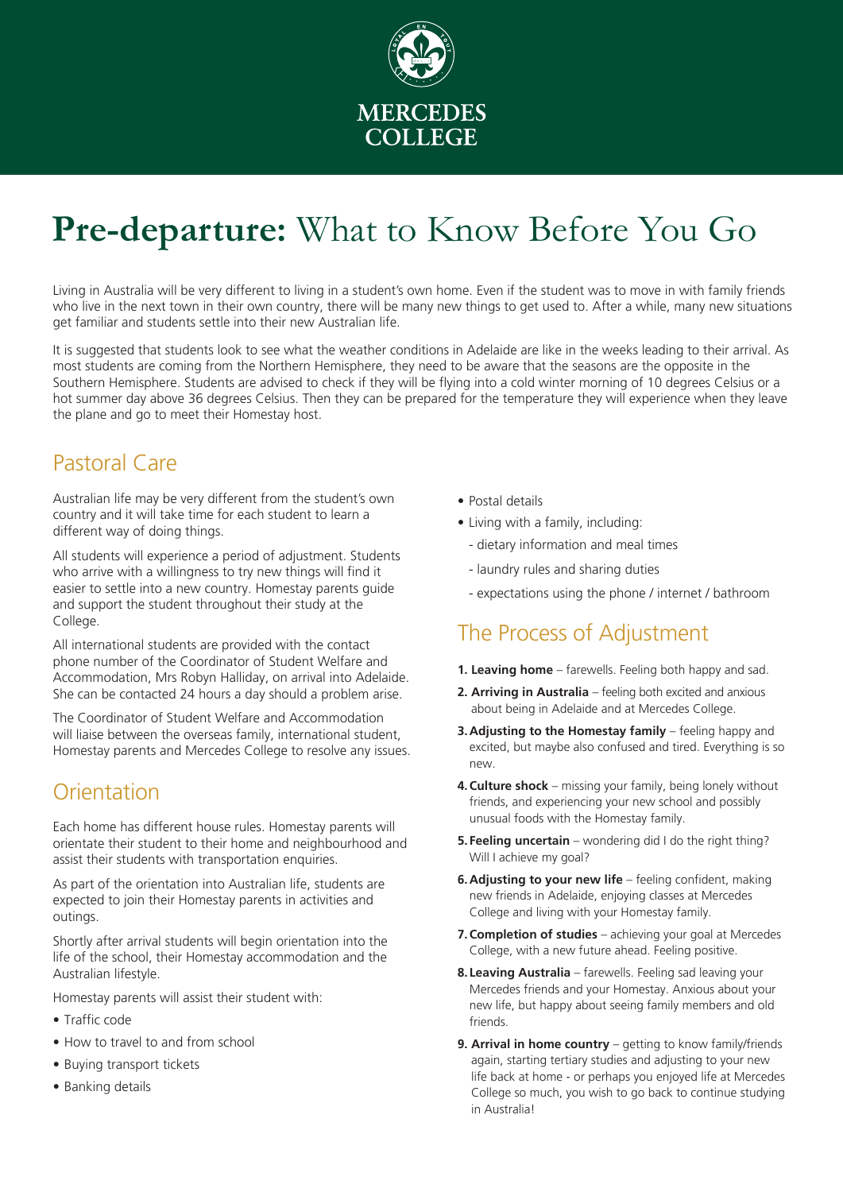

# **Pre-departure:** What to Know Before You Go

Living in Australia will be very different to living in a student's own home. Even if the student was to move in with family friends who live in the next town in their own country, there will be many new things to get used to. After a while, many new situations get familiar and students settle into their new Australian life.

It is suggested that students look to see what the weather conditions in Adelaide are like in the weeks leading to their arrival. As most students are coming from the Northern Hemisphere, they need to be aware that the seasons are the opposite in the Southern Hemisphere. Students are advised to check if they will be flying into a cold winter morning of 10 degrees Celsius or a hot summer day above 36 degrees Celsius. Then they can be prepared for the temperature they will experience when they leave the plane and go to meet their Homestay host.

# Pastoral Care

Australian life may be very different from the student's own country and it will take time for each student to learn a different way of doing things.

All students will experience a period of adjustment. Students who arrive with a willingness to try new things will find it easier to settle into a new country. Homestay parents guide and support the student throughout their study at the College.

All international students are provided with the contact phone number of the Coordinator of Student Welfare and Accommodation, Mrs Robyn Halliday, on arrival into Adelaide. She can be contacted 24 hours a day should a problem arise.

The Coordinator of Student Welfare and Accommodation will liaise between the overseas family, international student, Homestay parents and Mercedes College to resolve any issues.

### **Orientation**

Each home has different house rules. Homestay parents will orientate their student to their home and neighbourhood and assist their students with transportation enquiries.

As part of the orientation into Australian life, students are expected to join their Homestay parents in activities and outings.

Shortly after arrival students will begin orientation into the life of the school, their Homestay accommodation and the Australian lifestyle.

Homestay parents will assist their student with:

- • Traffic code
- How to travel to and from school
- Buying transport tickets
- Banking details
- Postal details
- Living with a family, including:
	- dietary information and meal times
	- laundry rules and sharing duties
	- expectations using the phone / internet / bathroom

# The Process of Adjustment

- **1. Leaving home**  farewells. Feeling both happy and sad.
- **2. Arriving in Australia**  feeling both excited and anxious about being in Adelaide and at Mercedes College.
- **3. Adjusting to the Homestay family** feeling happy and excited, but maybe also confused and tired. Everything is so new.
- **4. Culture shock** missing your family, being lonely without friends, and experiencing your new school and possibly unusual foods with the Homestay family.
- **5. Feeling uncertain** wondering did I do the right thing? Will I achieve my goal?
- **6. Adjusting to your new life** feeling confident, making new friends in Adelaide, enjoying classes at Mercedes College and living with your Homestay family.
- **7. Completion of studies** achieving your goal at Mercedes College, with a new future ahead. Feeling positive.
- **8. Leaving Australia**  farewells. Feeling sad leaving your Mercedes friends and your Homestay. Anxious about your new life, but happy about seeing family members and old friends.
- **9. Arrival in home country** getting to know family/friends again, starting tertiary studies and adjusting to your new life back at home - or perhaps you enjoyed life at Mercedes College so much, you wish to go back to continue studying in Australia!